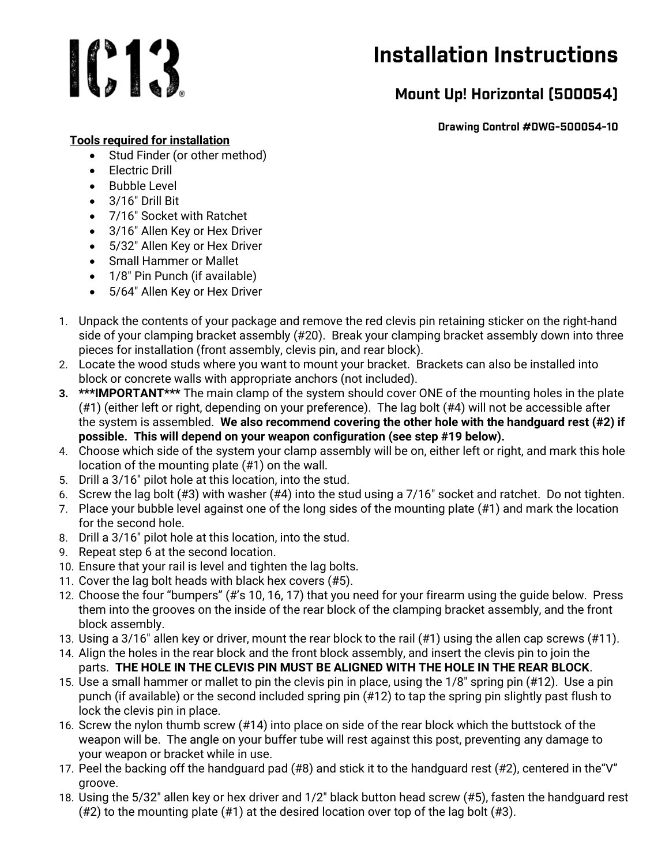# 1013

## Installation Instructions

### Mount Up! Horizontal (500054)

Drawing Control #DWG-500054-10

#### Tools required for installation

- Stud Finder (or other method)
- Flectric Drill
- Bubble Level
- $\bullet$  3/16" Drill Bit
- 7/16" Socket with Ratchet
- 3/16" Allen Key or Hex Driver
- 5/32″ Allen Key or Hex Driver
- Small Hammer or Mallet
- 1/8" Pin Punch (if available)
- 5/64″ Allen Key or Hex Driver
- 1. Unpack the contents of your package and remove the red clevis pin retaining sticker on the right-hand side of your clamping bracket assembly (#20). Break your clamping bracket assembly down into three pieces for installation (front assembly, clevis pin, and rear block).
- 2. Locate the wood studs where you want to mount your bracket. Brackets can also be installed into block or concrete walls with appropriate anchors (not included).
- 3. \*\*\*IMPORTANT\*\*\* The main clamp of the system should cover ONE of the mounting holes in the plate (#1) (either left or right, depending on your preference). The lag bolt (#4) will not be accessible after the system is assembled. We also recommend covering the other hole with the handguard rest (#2) if possible. This will depend on your weapon configuration (see step #19 below).
- 4. Choose which side of the system your clamp assembly will be on, either left or right, and mark this hole location of the mounting plate (#1) on the wall.
- 5. Drill a 3/16″ pilot hole at this location, into the stud.
- 6. Screw the lag bolt (#3) with washer (#4) into the stud using a 7/16″ socket and ratchet. Do not tighten.
- 7. Place your bubble level against one of the long sides of the mounting plate (#1) and mark the location for the second hole.
- 8. Drill a 3/16″ pilot hole at this location, into the stud.
- 9. Repeat step 6 at the second location.
- 10. Ensure that your rail is level and tighten the lag bolts.
- 11. Cover the lag bolt heads with black hex covers (#5).
- 12. Choose the four "bumpers" (#'s 10, 16, 17) that you need for your firearm using the guide below. Press them into the grooves on the inside of the rear block of the clamping bracket assembly, and the front block assembly.
- 13. Using a 3/16″ allen key or driver, mount the rear block to the rail (#1) using the allen cap screws (#11).
- 14. Align the holes in the rear block and the front block assembly, and insert the clevis pin to join the parts. THE HOLE IN THE CLEVIS PIN MUST BE ALIGNED WITH THE HOLE IN THE REAR BLOCK.
- 15. Use a small hammer or mallet to pin the clevis pin in place, using the 1/8″ spring pin (#12). Use a pin punch (if available) or the second included spring pin (#12) to tap the spring pin slightly past flush to lock the clevis pin in place.
- 16. Screw the nylon thumb screw (#14) into place on side of the rear block which the buttstock of the weapon will be. The angle on your buffer tube will rest against this post, preventing any damage to your weapon or bracket while in use.
- 17. Peel the backing off the handguard pad (#8) and stick it to the handguard rest (#2), centered in the"V" groove.
- 18. Using the 5/32″ allen key or hex driver and 1/2″ black button head screw (#5), fasten the handguard rest (#2) to the mounting plate (#1) at the desired location over top of the lag bolt (#3).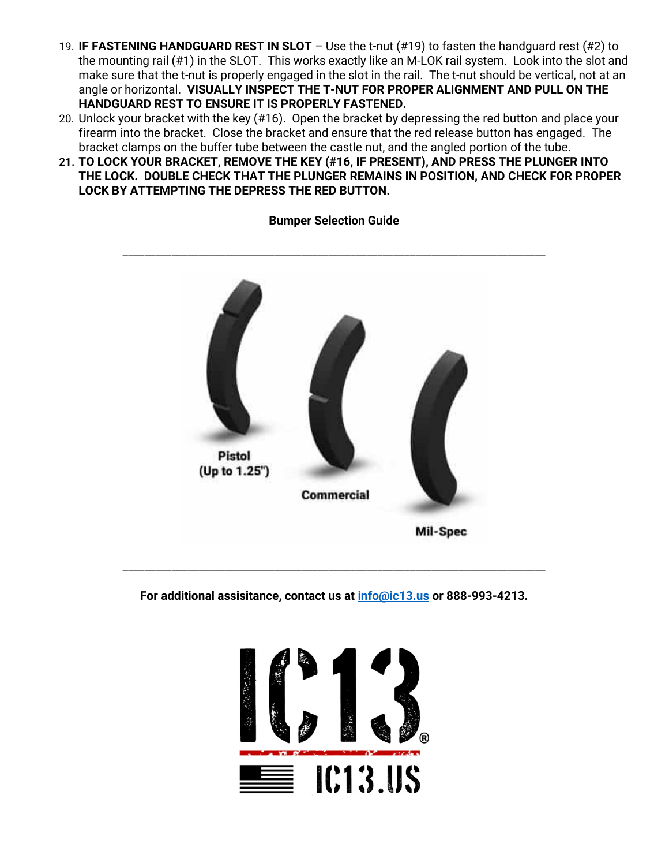- 19. IF FASTENING HANDGUARD REST IN SLOT Use the t-nut (#19) to fasten the handguard rest (#2) to the mounting rail (#1) in the SLOT. This works exactly like an M-LOK rail system. Look into the slot and make sure that the t-nut is properly engaged in the slot in the rail. The t-nut should be vertical, not at an angle or horizontal. VISUALLY INSPECT THE T-NUT FOR PROPER ALIGNMENT AND PULL ON THE HANDGUARD REST TO ENSURE IT IS PROPERLY FASTENED.
- 20. Unlock your bracket with the key (#16). Open the bracket by depressing the red button and place your firearm into the bracket. Close the bracket and ensure that the red release button has engaged. The bracket clamps on the buffer tube between the castle nut, and the angled portion of the tube.
- 21. TO LOCK YOUR BRACKET, REMOVE THE KEY (#16, IF PRESENT), AND PRESS THE PLUNGER INTO THE LOCK. DOUBLE CHECK THAT THE PLUNGER REMAINS IN POSITION, AND CHECK FOR PROPER LOCK BY ATTEMPTING THE DEPRESS THE RED BUTTON.



#### Bumper Selection Guide

For additional assisitance, contact us at  $info@ic13.us$  or 888-993-4213.

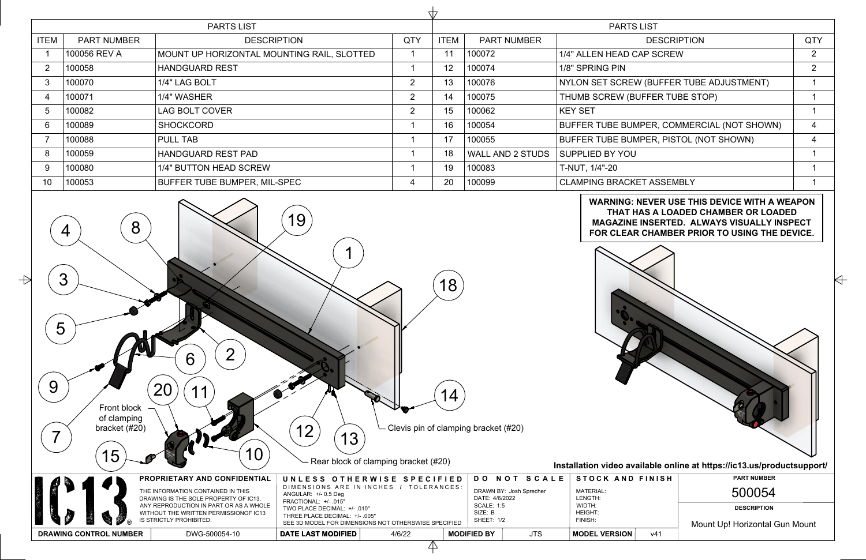| <b>PARTS LIST</b> |                    |                                            |                | <b>PARTS LIST</b> |                         |                                            |                |
|-------------------|--------------------|--------------------------------------------|----------------|-------------------|-------------------------|--------------------------------------------|----------------|
| <b>ITEM</b>       | <b>PART NUMBER</b> | <b>DESCRIPTION</b>                         | <b>QTY</b>     | <b>ITEM</b>       | <b>PART NUMBER</b>      | <b>DESCRIPTION</b>                         | <b>QTY</b>     |
|                   | 100056 REV A       | MOUNT UP HORIZONTAL MOUNTING RAIL, SLOTTED |                |                   | 100072                  | 1/4" ALLEN HEAD CAP SCREW                  | 2              |
|                   | 100058             | HANDGUARD REST                             |                | 12                | 100074                  | 1/8" SPRING PIN                            | $\overline{2}$ |
|                   | 100070             | 1/4" LAG BOLT                              | $\overline{2}$ | 13                | 100076                  | NYLON SET SCREW (BUFFER TUBE ADJUSTMENT)   |                |
|                   | 100071             | 1/4" WASHER                                | $\overline{2}$ | 14                | 100075                  | THUMB SCREW (BUFFER TUBE STOP)             |                |
|                   | 100082             | LAG BOLT COVER                             | $\overline{2}$ | 15                | 100062                  | <b>KEY SET</b>                             |                |
|                   | 100089             | SHOCKCORD_                                 |                | 16                | 100054                  | BUFFER TUBE BUMPER, COMMERCIAL (NOT SHOWN) | 4              |
|                   | 100088             | <b>PULL TAB</b>                            |                |                   | 100055                  | BUFFER TUBE BUMPER, PISTOL (NOT SHOWN)     | 4              |
|                   | 100059             | HANDGUARD REST PAD                         |                | 18                | <b>WALL AND 2 STUDS</b> | <b>SUPPLIED BY YOU</b>                     |                |
|                   | 100080             | 1/4" BUTTON HEAD SCREW                     |                | 19                | 100083                  | T-NUT, 1/4"-20                             |                |
| 10                | 100053             | <b>BUFFER TUBE BUMPER, MIL-SPEC</b>        | 4              | 20                | 100099                  | <b>CLAMPING BRACKET ASSEMBLY</b>           |                |
|                   |                    |                                            |                |                   |                         |                                            |                |